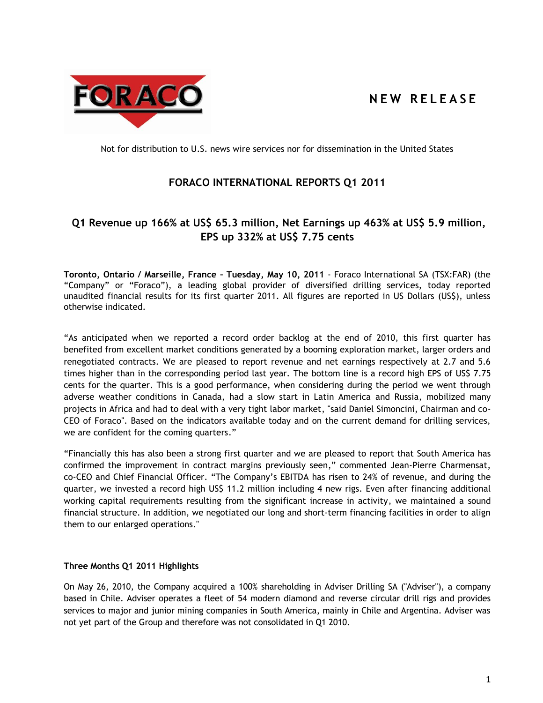

# **N E W R E L E A S E**

Not for distribution to U.S. news wire services nor for dissemination in the United States

## **FORACO INTERNATIONAL REPORTS Q1 2011**

## **Q1 Revenue up 166% at US\$ 65.3 million, Net Earnings up 463% at US\$ 5.9 million, EPS up 332% at US\$ 7.75 cents**

**Toronto, Ontario / Marseille, France – Tuesday, May 10, 2011** - Foraco International SA (TSX:FAR) (the "Company" or "Foraco"), a leading global provider of diversified drilling services, today reported unaudited financial results for its first quarter 2011. All figures are reported in US Dollars (US\$), unless otherwise indicated.

"As anticipated when we reported a record order backlog at the end of 2010, this first quarter has benefited from excellent market conditions generated by a booming exploration market, larger orders and renegotiated contracts. We are pleased to report revenue and net earnings respectively at 2.7 and 5.6 times higher than in the corresponding period last year. The bottom line is a record high EPS of US\$ 7.75 cents for the quarter. This is a good performance, when considering during the period we went through adverse weather conditions in Canada, had a slow start in Latin America and Russia, mobilized many projects in Africa and had to deal with a very tight labor market, "said Daniel Simoncini, Chairman and co-CEO of Foraco". Based on the indicators available today and on the current demand for drilling services, we are confident for the coming quarters."

"Financially this has also been a strong first quarter and we are pleased to report that South America has confirmed the improvement in contract margins previously seen," commented Jean-Pierre Charmensat, co-CEO and Chief Financial Officer. "The Company's EBITDA has risen to 24% of revenue, and during the quarter, we invested a record high US\$ 11.2 million including 4 new rigs. Even after financing additional working capital requirements resulting from the significant increase in activity, we maintained a sound financial structure. In addition, we negotiated our long and short-term financing facilities in order to align them to our enlarged operations."

## **Three Months Q1 2011 Highlights**

On May 26, 2010, the Company acquired a 100% shareholding in Adviser Drilling SA ("Adviser"), a company based in Chile. Adviser operates a fleet of 54 modern diamond and reverse circular drill rigs and provides services to major and junior mining companies in South America, mainly in Chile and Argentina. Adviser was not yet part of the Group and therefore was not consolidated in Q1 2010.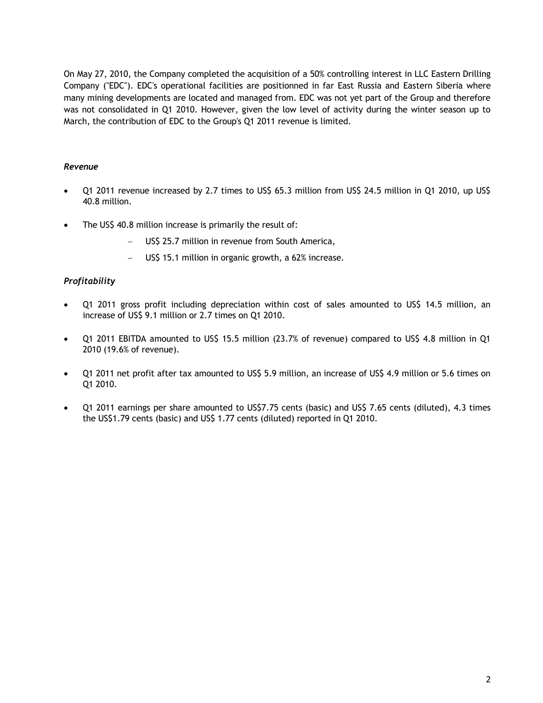On May 27, 2010, the Company completed the acquisition of a 50% controlling interest in LLC Eastern Drilling Company ("EDC"). EDC's operational facilities are positionned in far East Russia and Eastern Siberia where many mining developments are located and managed from. EDC was not yet part of the Group and therefore was not consolidated in Q1 2010. However, given the low level of activity during the winter season up to March, the contribution of EDC to the Group's Q1 2011 revenue is limited.

## *Revenue*

- Q1 2011 revenue increased by 2.7 times to US\$ 65.3 million from US\$ 24.5 million in Q1 2010, up US\$ 40.8 million.
- The US\$ 40.8 million increase is primarily the result of:
	- US\$ 25.7 million in revenue from South America,
	- US\$ 15.1 million in organic growth, a 62% increase.

## *Profitability*

- Q1 2011 gross profit including depreciation within cost of sales amounted to US\$ 14.5 million, an increase of US\$ 9.1 million or 2.7 times on Q1 2010.
- Q1 2011 EBITDA amounted to US\$ 15.5 million (23.7% of revenue) compared to US\$ 4.8 million in Q1 2010 (19.6% of revenue).
- Q1 2011 net profit after tax amounted to US\$ 5.9 million, an increase of US\$ 4.9 million or 5.6 times on Q1 2010.
- Q1 2011 earnings per share amounted to US\$7.75 cents (basic) and US\$ 7.65 cents (diluted), 4.3 times the US\$1.79 cents (basic) and US\$ 1.77 cents (diluted) reported in Q1 2010.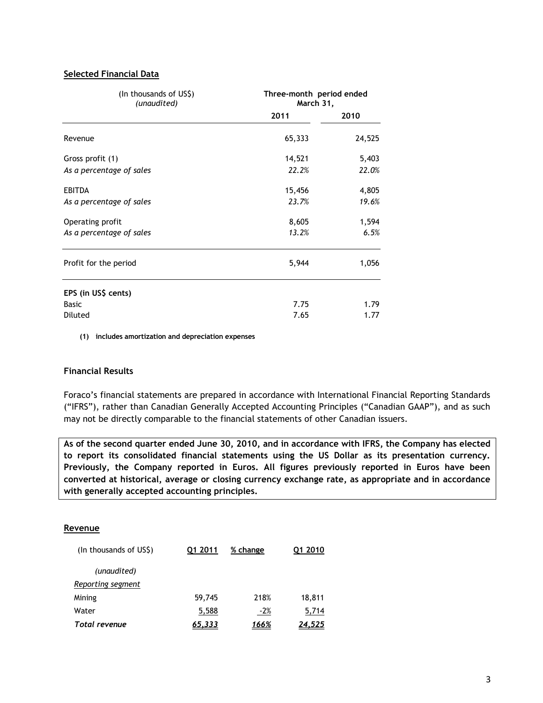## **Selected Financial Data**

| (In thousands of US\$)<br>(unaudited) | Three-month period ended<br>March 31, |        |  |
|---------------------------------------|---------------------------------------|--------|--|
|                                       | 2011                                  | 2010   |  |
| Revenue                               | 65,333                                | 24,525 |  |
| Gross profit (1)                      | 14,521                                | 5,403  |  |
| As a percentage of sales              | 22.2%                                 | 22.0%  |  |
| <b>EBITDA</b>                         | 15,456                                | 4,805  |  |
| As a percentage of sales              | 23.7%                                 | 19.6%  |  |
| Operating profit                      | 8,605                                 | 1,594  |  |
| As a percentage of sales              | 13.2%                                 | 6.5%   |  |
| Profit for the period                 | 5,944                                 | 1,056  |  |
| EPS (in US\$ cents)                   |                                       |        |  |
| <b>Basic</b>                          | 7.75                                  | 1.79   |  |
| Diluted                               | 7.65                                  | 1.77   |  |

**(1) includes amortization and depreciation expenses**

## **Financial Results**

Foraco's financial statements are prepared in accordance with International Financial Reporting Standards ("IFRS"), rather than Canadian Generally Accepted Accounting Principles ("Canadian GAAP"), and as such may not be directly comparable to the financial statements of other Canadian issuers.

**As of the second quarter ended June 30, 2010, and in accordance with IFRS, the Company has elected to report its consolidated financial statements using the US Dollar as its presentation currency. Previously, the Company reported in Euros. All figures previously reported in Euros have been converted at historical, average or closing currency exchange rate, as appropriate and in accordance with generally accepted accounting principles.**

## **Revenue**

| (In thousands of US\$) | Q1 2011 | % change | 01 2010 |
|------------------------|---------|----------|---------|
| (unaudited)            |         |          |         |
| Reporting segment      |         |          |         |
| Mining                 | 59,745  | 218%     | 18,811  |
| Water                  | 5,588   | $-2%$    | 5,714   |
| <b>Total revenue</b>   | 65,333  | 166%     | 24.525  |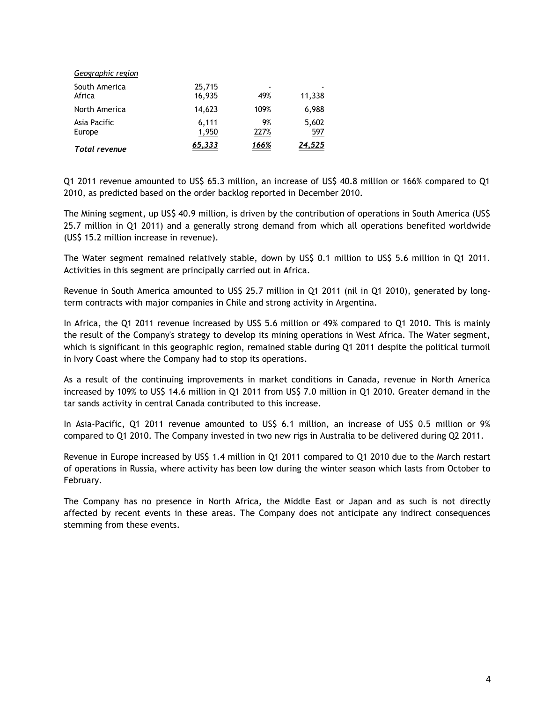| Geographic region       |                  |                                 |              |
|-------------------------|------------------|---------------------------------|--------------|
| South America<br>Africa | 25,715<br>16,935 | $\overline{\phantom{a}}$<br>49% | 11,338       |
| North America           | 14,623           | 109%                            | 6,988        |
| Asia Pacific<br>Europe  | 6,111<br>1,950   | 9%<br>227%                      | 5,602<br>597 |
| <b>Total revenue</b>    | 65,333           | 166%                            | 24,525       |

Q1 2011 revenue amounted to US\$ 65.3 million, an increase of US\$ 40.8 million or 166% compared to Q1 2010, as predicted based on the order backlog reported in December 2010.

The Mining segment, up US\$ 40.9 million, is driven by the contribution of operations in South America (US\$ 25.7 million in Q1 2011) and a generally strong demand from which all operations benefited worldwide (US\$ 15.2 million increase in revenue).

The Water segment remained relatively stable, down by US\$ 0.1 million to US\$ 5.6 million in Q1 2011. Activities in this segment are principally carried out in Africa.

Revenue in South America amounted to US\$ 25.7 million in Q1 2011 (nil in Q1 2010), generated by longterm contracts with major companies in Chile and strong activity in Argentina.

In Africa, the Q1 2011 revenue increased by US\$ 5.6 million or 49% compared to Q1 2010. This is mainly the result of the Company's strategy to develop its mining operations in West Africa. The Water segment, which is significant in this geographic region, remained stable during Q1 2011 despite the political turmoil in Ivory Coast where the Company had to stop its operations.

As a result of the continuing improvements in market conditions in Canada, revenue in North America increased by 109% to US\$ 14.6 million in Q1 2011 from US\$ 7.0 million in Q1 2010. Greater demand in the tar sands activity in central Canada contributed to this increase.

In Asia-Pacific, Q1 2011 revenue amounted to US\$ 6.1 million, an increase of US\$ 0.5 million or 9% compared to Q1 2010. The Company invested in two new rigs in Australia to be delivered during Q2 2011.

Revenue in Europe increased by US\$ 1.4 million in Q1 2011 compared to Q1 2010 due to the March restart of operations in Russia, where activity has been low during the winter season which lasts from October to February.

The Company has no presence in North Africa, the Middle East or Japan and as such is not directly affected by recent events in these areas. The Company does not anticipate any indirect consequences stemming from these events.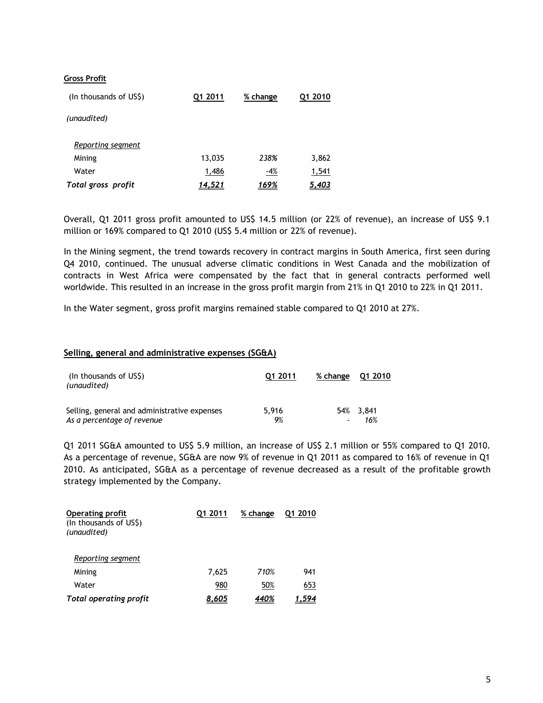## **Gross Profit**

| (In thousands of US\$) | Q1 2011 | % change | 01 2010      |
|------------------------|---------|----------|--------------|
| (unaudited)            |         |          |              |
| Reporting segment      |         |          |              |
| Mining                 | 13,035  | 238%     | 3,862        |
| Water                  | 1,486   | $-4%$    | 1,541        |
| Total gross profit     | 14,521  | 169%     | <u>5,403</u> |

Overall, Q1 2011 gross profit amounted to US\$ 14.5 million (or 22% of revenue), an increase of US\$ 9.1 million or 169% compared to Q1 2010 (US\$ 5.4 million or 22% of revenue).

In the Mining segment, the trend towards recovery in contract margins in South America, first seen during Q4 2010, continued. The unusual adverse climatic conditions in West Canada and the mobilization of contracts in West Africa were compensated by the fact that in general contracts performed well worldwide. This resulted in an increase in the gross profit margin from 21% in Q1 2010 to 22% in Q1 2011.

In the Water segment, gross profit margins remained stable compared to Q1 2010 at 27%.

#### **Selling, general and administrative expenses (SG&A)**

| (In thousands of US\$)<br>(unaudited)                                      | Q1 2011     | % change Q1 2010 |                  |  |
|----------------------------------------------------------------------------|-------------|------------------|------------------|--|
| Selling, general and administrative expenses<br>As a percentage of revenue | 5.916<br>9% |                  | 54% 3.841<br>16% |  |

Q1 2011 SG&A amounted to US\$ 5.9 million, an increase of US\$ 2.1 million or 55% compared to Q1 2010. As a percentage of revenue, SG&A are now 9% of revenue in Q1 2011 as compared to 16% of revenue in Q1 2010. As anticipated, SG&A as a percentage of revenue decreased as a result of the profitable growth strategy implemented by the Company.

| <b>Operating profit</b><br>(In thousands of US\$)<br>(unaudited) | Q1 2011 | % change | 01 2010 |
|------------------------------------------------------------------|---------|----------|---------|
| Reporting segment                                                |         |          |         |
| Mining                                                           | 7.625   | 710%     | 941     |
| Water                                                            | 980     | 50%      | 653     |
| <b>Total operating profit</b>                                    | 8.605   |          |         |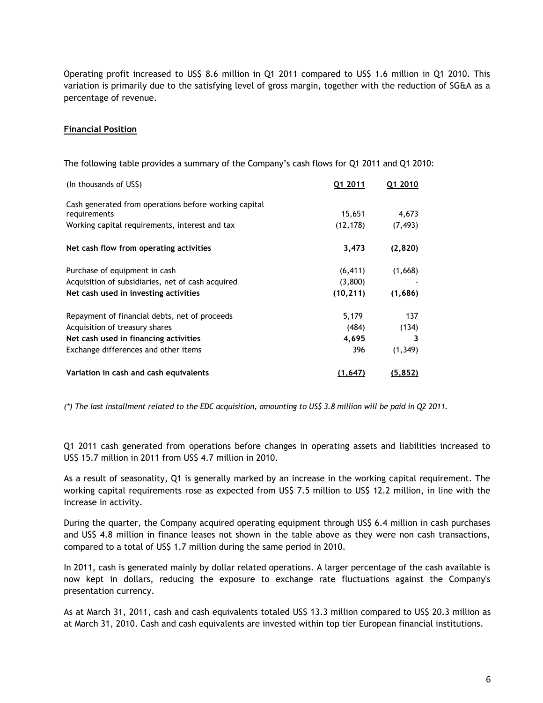Operating profit increased to US\$ 8.6 million in Q1 2011 compared to US\$ 1.6 million in Q1 2010. This variation is primarily due to the satisfying level of gross margin, together with the reduction of SG&A as a percentage of revenue.

## **Financial Position**

The following table provides a summary of the Company's cash flows for Q1 2011 and Q1 2010:

| (In thousands of US\$)                                | Q1 2011   | Q1 2010  |
|-------------------------------------------------------|-----------|----------|
| Cash generated from operations before working capital |           |          |
| requirements                                          | 15,651    | 4,673    |
| Working capital requirements, interest and tax        | (12, 178) | (7, 493) |
| Net cash flow from operating activities               | 3,473     | (2,820)  |
| Purchase of equipment in cash                         | (6, 411)  | (1,668)  |
| Acquisition of subsidiaries, net of cash acquired     | (3,800)   |          |
| Net cash used in investing activities                 | (10, 211) | (1,686)  |
| Repayment of financial debts, net of proceeds         | 5,179     | 137      |
| Acquisition of treasury shares                        | (484)     | (134)    |
| Net cash used in financing activities                 | 4,695     | 3        |
| Exchange differences and other items                  | 396       | (1, 349) |
| Variation in cash and cash equivalents                | (1, 647)  | (5, 852) |

*(\*) The last installment related to the EDC acquisition, amounting to US\$ 3.8 million will be paid in Q2 2011.*

Q1 2011 cash generated from operations before changes in operating assets and liabilities increased to US\$ 15.7 million in 2011 from US\$ 4.7 million in 2010.

As a result of seasonality, Q1 is generally marked by an increase in the working capital requirement. The working capital requirements rose as expected from US\$ 7.5 million to US\$ 12.2 million, in line with the increase in activity.

During the quarter, the Company acquired operating equipment through US\$ 6.4 million in cash purchases and US\$ 4.8 million in finance leases not shown in the table above as they were non cash transactions, compared to a total of US\$ 1.7 million during the same period in 2010.

In 2011, cash is generated mainly by dollar related operations. A larger percentage of the cash available is now kept in dollars, reducing the exposure to exchange rate fluctuations against the Company's presentation currency.

As at March 31, 2011, cash and cash equivalents totaled US\$ 13.3 million compared to US\$ 20.3 million as at March 31, 2010. Cash and cash equivalents are invested within top tier European financial institutions.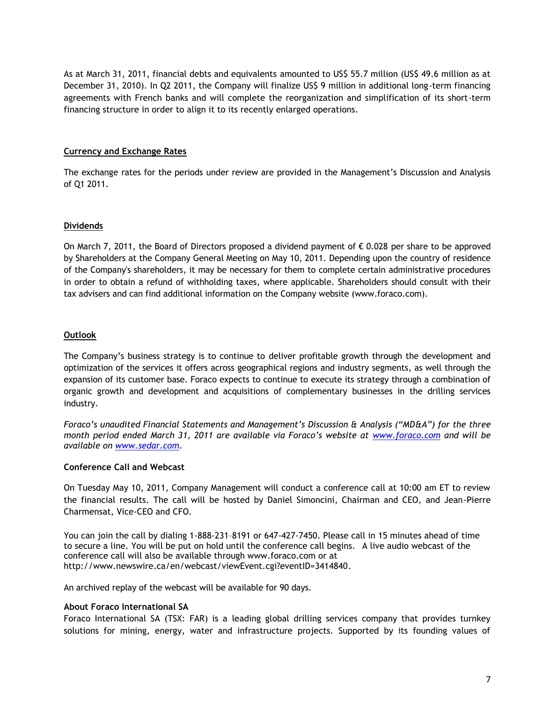As at March 31, 2011, financial debts and equivalents amounted to US\$ 55.7 million (US\$ 49.6 million as at December 31, 2010). In Q2 2011, the Company will finalize US\$ 9 million in additional long-term financing agreements with French banks and will complete the reorganization and simplification of its short-term financing structure in order to align it to its recently enlarged operations.

## **Currency and Exchange Rates**

The exchange rates for the periods under review are provided in the Management's Discussion and Analysis of Q1 2011.

## **Dividends**

On March 7, 2011, the Board of Directors proposed a dividend payment of € 0.028 per share to be approved by Shareholders at the Company General Meeting on May 10, 2011. Depending upon the country of residence of the Company's shareholders, it may be necessary for them to complete certain administrative procedures in order to obtain a refund of withholding taxes, where applicable. Shareholders should consult with their tax advisers and can find additional information on the Company website (www.foraco.com).

## **Outlook**

The Company's business strategy is to continue to deliver profitable growth through the development and optimization of the services it offers across geographical regions and industry segments, as well through the expansion of its customer base. Foraco expects to continue to execute its strategy through a combination of organic growth and development and acquisitions of complementary businesses in the drilling services industry.

*Foraco's unaudited Financial Statements and Management's Discussion & Analysis ("MD&A") for the three month period ended March 31, 2011 are available via Foraco's website at [www.foraco.com](http://www.foraco.com/) and will be available on [www.sedar.com.](http://www.sedar.com/)* 

## **Conference Call and Webcast**

On Tuesday May 10, 2011, Company Management will conduct a conference call at 10:00 am ET to review the financial results. The call will be hosted by Daniel Simoncini, Chairman and CEO, and Jean-Pierre Charmensat, Vice-CEO and CFO.

You can join the call by dialing 1-888-231–8191 or 647-427-7450. Please call in 15 minutes ahead of time to secure a line. You will be put on hold until the conference call begins. A live audio webcast of the conference call will also be available through [www.foraco.com](http://www.foraco.com/) or at [http://www.newswire.ca/en/webcast/viewEvent.cgi?eventID=3414840.](http://www.newswire.ca/en/webcast/viewEvent.cgi?eventID=3414840)

An archived replay of the webcast will be available for 90 days.

## **About Foraco International SA**

Foraco International SA (TSX: FAR) is a leading global drilling services company that provides turnkey solutions for mining, energy, water and infrastructure projects. Supported by its founding values of